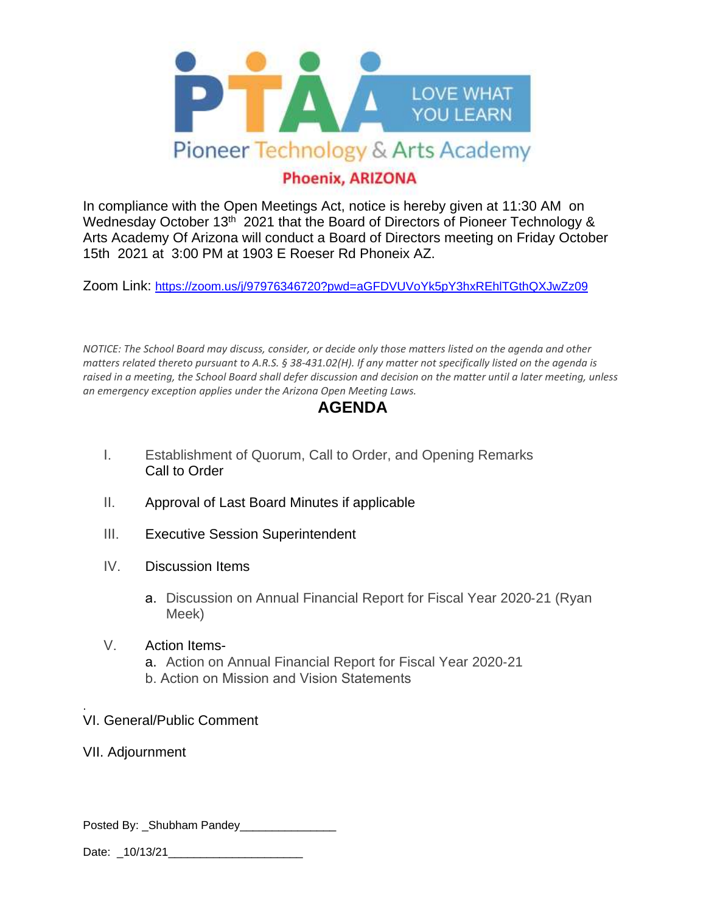

## **Phoenix, ARIZONA**

In compliance with the Open Meetings Act, notice is hereby given at 11:30 AM on Wednesday October 13<sup>th</sup> 2021 that the Board of Directors of Pioneer Technology & Arts Academy Of Arizona will conduct a Board of Directors meeting on Friday October 15th 2021 at 3:00 PM at 1903 E Roeser Rd Phoneix AZ.

Zoom Link: <https://zoom.us/j/97976346720?pwd=aGFDVUVoYk5pY3hxREhlTGthQXJwZz09>

*NOTICE: The School Board may discuss, consider, or decide only those matters listed on the agenda and other matters related thereto pursuant to A.R.S. § 38‐431.02(H). If any matter not specifically listed on the agenda is raised in a meeting, the School Board shall defer discussion and decision on the matter until a later meeting, unless an emergency exception applies under the Arizona Open Meeting Laws.*

## **AGENDA**

- I. Establishment of Quorum, Call to Order, and Opening Remarks Call to Order
- II. Approval of Last Board Minutes if applicable
- III. Executive Session Superintendent
- IV. Discussion Items
	- a. Discussion on Annual Financial Report for Fiscal Year 2020‐21 (Ryan Meek)
- V. Action Items
	- a. Action on Annual Financial Report for Fiscal Year 2020‐21 b. Action on Mission and Vision Statements
- . VI. General/Public Comment
- VII. Adjournment

Posted By: Shubham Pandey

Date: 10/13/21